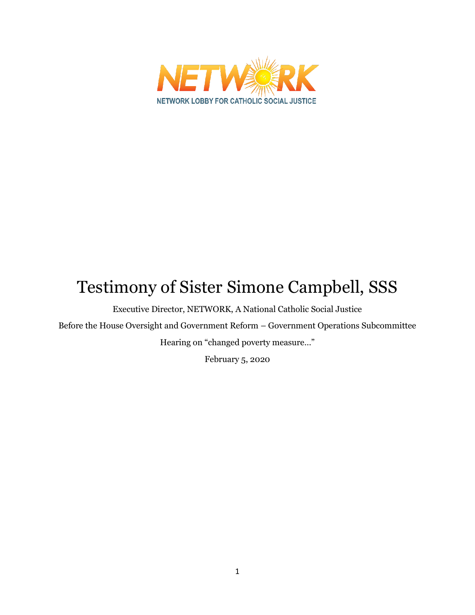

# Testimony of Sister Simone Campbell, SSS

Executive Director, NETWORK, A National Catholic Social Justice

Before the House Oversight and Government Reform – Government Operations Subcommittee

Hearing on "changed poverty measure…"

February 5, 2020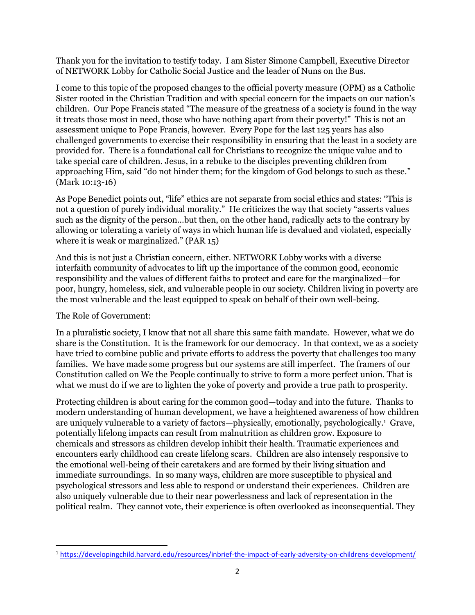Thank you for the invitation to testify today. I am Sister Simone Campbell, Executive Director of NETWORK Lobby for Catholic Social Justice and the leader of Nuns on the Bus.

I come to this topic of the proposed changes to the official poverty measure (OPM) as a Catholic Sister rooted in the Christian Tradition and with special concern for the impacts on our nation's children. Our Pope Francis stated "The measure of the greatness of a society is found in the way it treats those most in need, those who have nothing apart from their poverty!" This is not an assessment unique to Pope Francis, however. Every Pope for the last 125 years has also challenged governments to exercise their responsibility in ensuring that the least in a society are provided for. There is a foundational call for Christians to recognize the unique value and to take special care of children. Jesus, in a rebuke to the disciples preventing children from approaching Him, said "do not hinder them; for the kingdom of God belongs to such as these." (Mark 10:13-16)

As Pope Benedict points out, "life" ethics are not separate from social ethics and states: "This is not a question of purely individual morality." He criticizes the way that society "asserts values such as the dignity of the person…but then, on the other hand, radically acts to the contrary by allowing or tolerating a variety of ways in which human life is devalued and violated, especially where it is weak or marginalized." (PAR 15)

And this is not just a Christian concern, either. NETWORK Lobby works with a diverse interfaith community of advocates to lift up the importance of the common good, economic responsibility and the values of different faiths to protect and care for the marginalized—for poor, hungry, homeless, sick, and vulnerable people in our society. Children living in poverty are the most vulnerable and the least equipped to speak on behalf of their own well-being.

## The Role of Government:

 $\overline{\phantom{a}}$ 

In a pluralistic society, I know that not all share this same faith mandate. However, what we do share is the Constitution. It is the framework for our democracy. In that context, we as a society have tried to combine public and private efforts to address the poverty that challenges too many families. We have made some progress but our systems are still imperfect. The framers of our Constitution called on We the People continually to strive to form a more perfect union. That is what we must do if we are to lighten the yoke of poverty and provide a true path to prosperity.

Protecting children is about caring for the common good—today and into the future. Thanks to modern understanding of human development, we have a heightened awareness of how children are uniquely vulnerable to a variety of factors—physically, emotionally, psychologically. 1 Grave, potentially lifelong impacts can result from malnutrition as children grow. Exposure to chemicals and stressors as children develop inhibit their health. Traumatic experiences and encounters early childhood can create lifelong scars. Children are also intensely responsive to the emotional well-being of their caretakers and are formed by their living situation and immediate surroundings. In so many ways, children are more susceptible to physical and psychological stressors and less able to respond or understand their experiences. Children are also uniquely vulnerable due to their near powerlessness and lack of representation in the political realm. They cannot vote, their experience is often overlooked as inconsequential. They

<sup>1</sup> <https://developingchild.harvard.edu/resources/inbrief-the-impact-of-early-adversity-on-childrens-development/>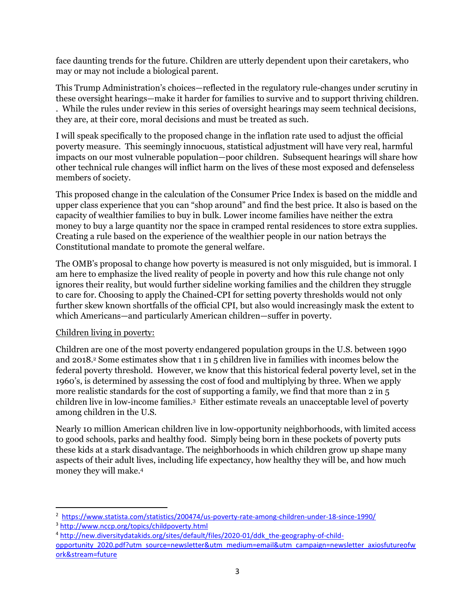face daunting trends for the future. Children are utterly dependent upon their caretakers, who may or may not include a biological parent.

This Trump Administration's choices—reflected in the regulatory rule-changes under scrutiny in these oversight hearings—make it harder for families to survive and to support thriving children. . While the rules under review in this series of oversight hearings may seem technical decisions, they are, at their core, moral decisions and must be treated as such.

I will speak specifically to the proposed change in the inflation rate used to adjust the official poverty measure. This seemingly innocuous, statistical adjustment will have very real, harmful impacts on our most vulnerable population—poor children. Subsequent hearings will share how other technical rule changes will inflict harm on the lives of these most exposed and defenseless members of society.

This proposed change in the calculation of the Consumer Price Index is based on the middle and upper class experience that you can "shop around" and find the best price. It also is based on the capacity of wealthier families to buy in bulk. Lower income families have neither the extra money to buy a large quantity nor the space in cramped rental residences to store extra supplies. Creating a rule based on the experience of the wealthier people in our nation betrays the Constitutional mandate to promote the general welfare.

The OMB's proposal to change how poverty is measured is not only misguided, but is immoral. I am here to emphasize the lived reality of people in poverty and how this rule change not only ignores their reality, but would further sideline working families and the children they struggle to care for. Choosing to apply the Chained-CPI for setting poverty thresholds would not only further skew known shortfalls of the official CPI, but also would increasingly mask the extent to which Americans—and particularly American children—suffer in poverty.

## Children living in poverty:

Children are one of the most poverty endangered population groups in the U.S. between 1990 and 2018. <sup>2</sup> Some estimates show that 1 in 5 children live in families with incomes below the federal poverty threshold. However, we know that this historical federal poverty level, set in the 1960's, is determined by assessing the cost of food and multiplying by three. When we apply more realistic standards for the cost of supporting a family, we find that more than 2 in 5 children live in low-income families. 3 Either estimate reveals an unacceptable level of poverty among children in the U.S.

Nearly 10 million American children live in low-opportunity neighborhoods, with limited access to good schools, parks and healthy food. Simply being born in these pockets of poverty puts these kids at a stark disadvantage. The neighborhoods in which children grow up shape many aspects of their adult lives, including life expectancy, how healthy they will be, and how much money they will make. 4

 $\overline{\phantom{a}}$ 

<sup>&</sup>lt;sup>2</sup> <https://www.statista.com/statistics/200474/us-poverty-rate-among-children-under-18-since-1990/>

<sup>3</sup> <http://www.nccp.org/topics/childpoverty.html>

<sup>4</sup> [http://new.diversitydatakids.org/sites/default/files/2020-01/ddk\\_the-geography-of-child-](http://new.diversitydatakids.org/sites/default/files/2020-01/ddk_the-geography-of-child-opportunity_2020.pdf?utm_source=newsletter&utm_medium=email&utm_campaign=newsletter_axiosfutureofwork&stream=future)

[opportunity\\_2020.pdf?utm\\_source=newsletter&utm\\_medium=email&utm\\_campaign=newsletter\\_axiosfutureofw](http://new.diversitydatakids.org/sites/default/files/2020-01/ddk_the-geography-of-child-opportunity_2020.pdf?utm_source=newsletter&utm_medium=email&utm_campaign=newsletter_axiosfutureofwork&stream=future) [ork&stream=future](http://new.diversitydatakids.org/sites/default/files/2020-01/ddk_the-geography-of-child-opportunity_2020.pdf?utm_source=newsletter&utm_medium=email&utm_campaign=newsletter_axiosfutureofwork&stream=future)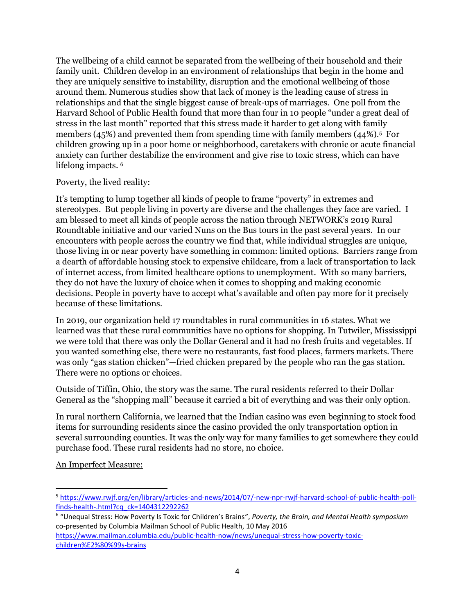The wellbeing of a child cannot be separated from the wellbeing of their household and their family unit. Children develop in an environment of relationships that begin in the home and they are uniquely sensitive to instability, disruption and the emotional wellbeing of those around them. Numerous studies show that lack of money is the leading cause of stress in relationships and that the single biggest cause of break-ups of marriages. One poll from the Harvard School of Public Health found that more than four in 10 people "under a great deal of stress in the last month" reported that this stress made it harder to get along with family members  $(45%)$  and prevented them from spending time with family members  $(44%)$ .<sup>5</sup> For children growing up in a poor home or neighborhood, caretakers with chronic or acute financial anxiety can further destabilize the environment and give rise to toxic stress, which can have lifelong impacts. 6

## Poverty, the lived reality:

It's tempting to lump together all kinds of people to frame "poverty" in extremes and stereotypes. But people living in poverty are diverse and the challenges they face are varied. I am blessed to meet all kinds of people across the nation through NETWORK's 2019 Rural Roundtable initiative and our varied Nuns on the Bus tours in the past several years. In our encounters with people across the country we find that, while individual struggles are unique, those living in or near poverty have something in common: limited options. Barriers range from a dearth of affordable housing stock to expensive childcare, from a lack of transportation to lack of internet access, from limited healthcare options to unemployment. With so many barriers, they do not have the luxury of choice when it comes to shopping and making economic decisions. People in poverty have to accept what's available and often pay more for it precisely because of these limitations.

In 2019, our organization held 17 roundtables in rural communities in 16 states. What we learned was that these rural communities have no options for shopping. In Tutwiler, Mississippi we were told that there was only the Dollar General and it had no fresh fruits and vegetables. If you wanted something else, there were no restaurants, fast food places, farmers markets. There was only "gas station chicken"—fried chicken prepared by the people who ran the gas station. There were no options or choices.

Outside of Tiffin, Ohio, the story was the same. The rural residents referred to their Dollar General as the "shopping mall" because it carried a bit of everything and was their only option.

In rural northern California, we learned that the Indian casino was even beginning to stock food items for surrounding residents since the casino provided the only transportation option in several surrounding counties. It was the only way for many families to get somewhere they could purchase food. These rural residents had no store, no choice.

## An Imperfect Measure:

 $\overline{\phantom{a}}$ 

<sup>5</sup> [https://www.rwjf.org/en/library/articles-and-news/2014/07/-new-npr-rwjf-harvard-school-of-public-health-poll](https://www.rwjf.org/en/library/articles-and-news/2014/07/-new-npr-rwjf-harvard-school-of-public-health-poll-finds-health-.html?cq_ck=1404312292262)[finds-health-.html?cq\\_ck=1404312292262](https://www.rwjf.org/en/library/articles-and-news/2014/07/-new-npr-rwjf-harvard-school-of-public-health-poll-finds-health-.html?cq_ck=1404312292262)

<sup>6</sup> "Unequal Stress: How Poverty Is Toxic for Children's Brains", *Poverty, the Brain, and Mental Health symposium* co-presented by Columbia Mailman School of Public Health, 10 May 2016 [https://www.mailman.columbia.edu/public-health-now/news/unequal-stress-how-poverty-toxic-](https://www.mailman.columbia.edu/public-health-now/news/unequal-stress-how-poverty-toxic-children%E2%80%99s-brains)

[children%E2%80%99s-brains](https://www.mailman.columbia.edu/public-health-now/news/unequal-stress-how-poverty-toxic-children%E2%80%99s-brains)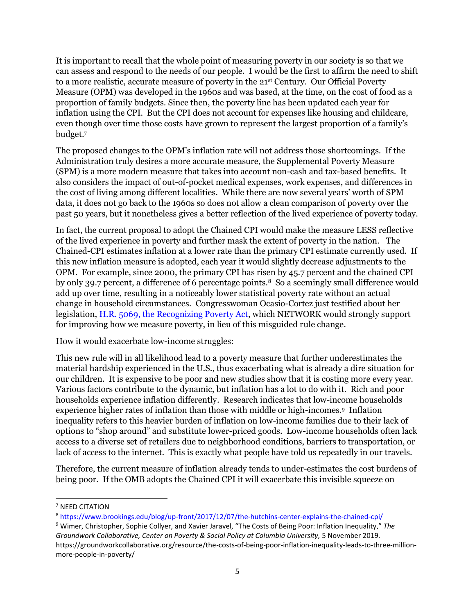It is important to recall that the whole point of measuring poverty in our society is so that we can assess and respond to the needs of our people. I would be the first to affirm the need to shift to a more realistic, accurate measure of poverty in the 21<sup>st</sup> Century. Our Official Poverty Measure (OPM) was developed in the 1960s and was based, at the time, on the cost of food as a proportion of family budgets. Since then, the poverty line has been updated each year for inflation using the CPI. But the CPI does not account for expenses like housing and childcare, even though over time those costs have grown to represent the largest proportion of a family's budget. 7

The proposed changes to the OPM's inflation rate will not address those shortcomings. If the Administration truly desires a more accurate measure, the Supplemental Poverty Measure (SPM) is a more modern measure that takes into account non-cash and tax-based benefits. It also considers the impact of out-of-pocket medical expenses, work expenses, and differences in the cost of living among different localities. While there are now several years' worth of SPM data, it does not go back to the 1960s so does not allow a clean comparison of poverty over the past 50 years, but it nonetheless gives a better reflection of the lived experience of poverty today.

In fact, the current proposal to adopt the Chained CPI would make the measure LESS reflective of the lived experience in poverty and further mask the extent of poverty in the nation. The Chained-CPI estimates inflation at a lower rate than the primary CPI estimate currently used. If this new inflation measure is adopted, each year it would slightly decrease adjustments to the OPM. For example, since 2000, the primary CPI has risen by 45.7 percent and the chained CPI by only 39.7 percent, a difference of 6 percentage points.<sup>8</sup> So a seemingly small difference would add up over time, resulting in a noticeably lower statistical poverty rate without an actual change in household circumstances. Congresswoman Ocasio-Cortez just testified about her legislation, [H.R. 5069, the Recognizing Poverty Act,](https://www.congress.gov/bill/116th-congress/house-bill/5069?q=%7B%22search%22%3A%22h.r.+5069%22%7D) which NETWORK would strongly support for improving how we measure poverty, in lieu of this misguided rule change.

## How it would exacerbate low-income struggles:

This new rule will in all likelihood lead to a poverty measure that further underestimates the material hardship experienced in the U.S., thus exacerbating what is already a dire situation for our children. It is expensive to be poor and new studies show that it is costing more every year. Various factors contribute to the dynamic, but inflation has a lot to do with it. Rich and poor households experience inflation differently. Research indicates that low-income households experience higher rates of inflation than those with middle or high-incomes.<sup>9</sup> Inflation inequality refers to this heavier burden of inflation on low-income families due to their lack of options to "shop around" and substitute lower-priced goods. Low-income households often lack access to a diverse set of retailers due to neighborhood conditions, barriers to transportation, or lack of access to the internet. This is exactly what people have told us repeatedly in our travels.

Therefore, the current measure of inflation already tends to under-estimates the cost burdens of being poor. If the OMB adopts the Chained CPI it will exacerbate this invisible squeeze on

l

<sup>7</sup> NEED CITATION

<sup>&</sup>lt;sup>8</sup> <https://www.brookings.edu/blog/up-front/2017/12/07/the-hutchins-center-explains-the-chained-cpi/>

<sup>9</sup> Wimer, Christopher, Sophie Collyer, and Xavier Jaravel, "The Costs of Being Poor: Inflation Inequality," *The Groundwork Collaborative, Center on Poverty & Social Policy at Columbia University,* 5 November 2019*.* https://groundworkcollaborative.org/resource/the-costs-of-being-poor-inflation-inequality-leads-to-three-millionmore-people-in-poverty/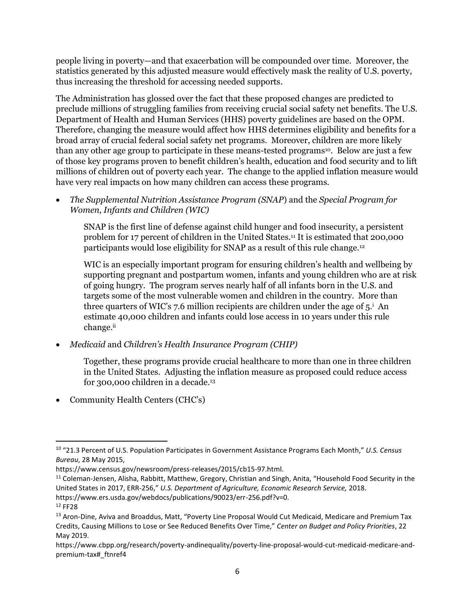people living in poverty—and that exacerbation will be compounded over time. Moreover, the statistics generated by this adjusted measure would effectively mask the reality of U.S. poverty, thus increasing the threshold for accessing needed supports.

The Administration has glossed over the fact that these proposed changes are predicted to preclude millions of struggling families from receiving crucial social safety net benefits. The U.S. Department of Health and Human Services (HHS) poverty guidelines are based on the OPM. Therefore, changing the measure would affect how HHS determines eligibility and benefits for a broad array of crucial federal social safety net programs. Moreover, children are more likely than any other age group to participate in these means-tested programs<sup>10</sup>. Below are just a few of those key programs proven to benefit children's health, education and food security and to lift millions of children out of poverty each year. The change to the applied inflation measure would have very real impacts on how many children can access these programs.

 *The Supplemental Nutrition Assistance Program (SNAP*) and the *Special Program for Women, Infants and Children (WIC)*

SNAP is the first line of defense against child hunger and food insecurity, a persistent problem for 17 percent of children in the United States.<sup>11</sup> It is estimated that 200,000 participants would lose eligibility for SNAP as a result of this rule change.<sup>12</sup>

WIC is an especially important program for ensuring children's health and wellbeing by supporting pregnant and postpartum women, infants and young children who are at risk of going hungry. The program serves nearly half of all infants born in the U.S. and targets some of the most vulnerable women and children in the country. More than three quarters of WIC's 7.6 million recipients are children under the age of  $5<sup>i</sup>$ . An estimate 40,000 children and infants could lose access in 10 years under this rule change.ii

*Medicaid* and *Children's Health Insurance Program (CHIP)*

Together, these programs provide crucial healthcare to more than one in three children in the United States. Adjusting the inflation measure as proposed could reduce access for 300,000 children in a decade. 13

• Community Health Centers (CHC's)

 $\overline{\phantom{a}}$ 

<sup>10</sup> "21.3 Percent of U.S. Population Participates in Government Assistance Programs Each Month," *U.S. Census Bureau*, 28 May 2015,

https://www.census.gov/newsroom/press-releases/2015/cb15-97.html.

<sup>&</sup>lt;sup>11</sup> Coleman-Jensen, Alisha, Rabbitt, Matthew, Gregory, Christian and Singh, Anita, "Household Food Security in the United States in 2017, ERR-256," *U.S. Department of Agriculture, Economic Research Service,* 2018. https://www.ers.usda.gov/webdocs/publications/90023/err-256.pdf?v=0.

<sup>12</sup> FF28

<sup>&</sup>lt;sup>13</sup> Aron-Dine, Aviva and Broaddus, Matt, "Poverty Line Proposal Would Cut Medicaid, Medicare and Premium Tax Credits, Causing Millions to Lose or See Reduced Benefits Over Time," *Center on Budget and Policy Priorities*, 22 May 2019.

https://www.cbpp.org/research/poverty-andinequality/poverty-line-proposal-would-cut-medicaid-medicare-andpremium-tax#\_ftnref4